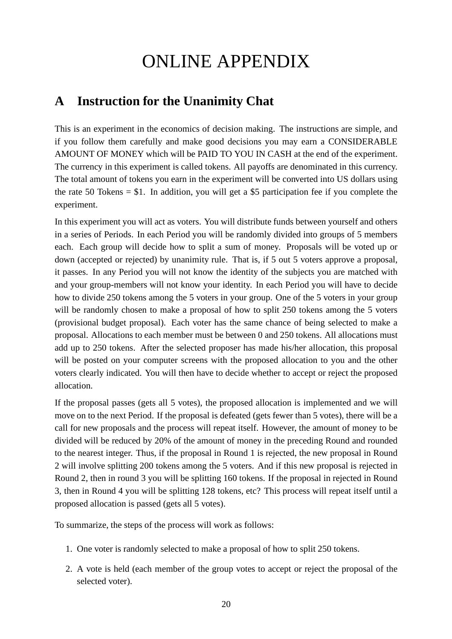# ONLINE APPENDIX

## **A Instruction for the Unanimity Chat**

This is an experiment in the economics of decision making. The instructions are simple, and if you follow them carefully and make good decisions you may earn a CONSIDERABLE AMOUNT OF MONEY which will be PAID TO YOU IN CASH at the end of the experiment. The currency in this experiment is called tokens. All payoffs are denominated in this currency. The total amount of tokens you earn in the experiment will be converted into US dollars using the rate 50 Tokens  $= $1$ . In addition, you will get a \$5 participation fee if you complete the experiment.

In this experiment you will act as voters. You will distribute funds between yourself and others in a series of Periods. In each Period you will be randomly divided into groups of 5 members each. Each group will decide how to split a sum of money. Proposals will be voted up or down (accepted or rejected) by unanimity rule. That is, if 5 out 5 voters approve a proposal, it passes. In any Period you will not know the identity of the subjects you are matched with and your group-members will not know your identity. In each Period you will have to decide how to divide 250 tokens among the 5 voters in your group. One of the 5 voters in your group will be randomly chosen to make a proposal of how to split 250 tokens among the 5 voters (provisional budget proposal). Each voter has the same chance of being selected to make a proposal. Allocations to each member must be between 0 and 250 tokens. All allocations must add up to 250 tokens. After the selected proposer has made his/her allocation, this proposal will be posted on your computer screens with the proposed allocation to you and the other voters clearly indicated. You will then have to decide whether to accept or reject the proposed allocation.

If the proposal passes (gets all 5 votes), the proposed allocation is implemented and we will move on to the next Period. If the proposal is defeated (gets fewer than 5 votes), there will be a call for new proposals and the process will repeat itself. However, the amount of money to be divided will be reduced by 20% of the amount of money in the preceding Round and rounded to the nearest integer. Thus, if the proposal in Round 1 is rejected, the new proposal in Round 2 will involve splitting 200 tokens among the 5 voters. And if this new proposal is rejected in Round 2, then in round 3 you will be splitting 160 tokens. If the proposal in rejected in Round 3, then in Round 4 you will be splitting 128 tokens, etc? This process will repeat itself until a proposed allocation is passed (gets all 5 votes).

To summarize, the steps of the process will work as follows:

- 1. One voter is randomly selected to make a proposal of how to split 250 tokens.
- 2. A vote is held (each member of the group votes to accept or reject the proposal of the selected voter).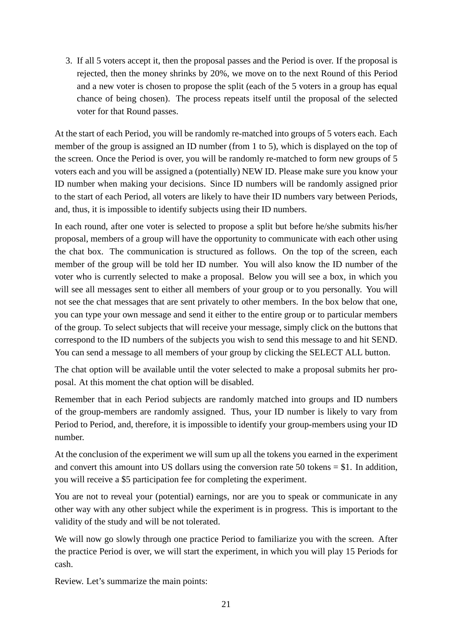3. If all 5 voters accept it, then the proposal passes and the Period is over. If the proposal is rejected, then the money shrinks by 20%, we move on to the next Round of this Period and a new voter is chosen to propose the split (each of the 5 voters in a group has equal chance of being chosen). The process repeats itself until the proposal of the selected voter for that Round passes.

At the start of each Period, you will be randomly re-matched into groups of 5 voters each. Each member of the group is assigned an ID number (from 1 to 5), which is displayed on the top of the screen. Once the Period is over, you will be randomly re-matched to form new groups of 5 voters each and you will be assigned a (potentially) NEW ID. Please make sure you know your ID number when making your decisions. Since ID numbers will be randomly assigned prior to the start of each Period, all voters are likely to have their ID numbers vary between Periods, and, thus, it is impossible to identify subjects using their ID numbers.

In each round, after one voter is selected to propose a split but before he/she submits his/her proposal, members of a group will have the opportunity to communicate with each other using the chat box. The communication is structured as follows. On the top of the screen, each member of the group will be told her ID number. You will also know the ID number of the voter who is currently selected to make a proposal. Below you will see a box, in which you will see all messages sent to either all members of your group or to you personally. You will not see the chat messages that are sent privately to other members. In the box below that one, you can type your own message and send it either to the entire group or to particular members of the group. To select subjects that will receive your message, simply click on the buttons that correspond to the ID numbers of the subjects you wish to send this message to and hit SEND. You can send a message to all members of your group by clicking the SELECT ALL button.

The chat option will be available until the voter selected to make a proposal submits her proposal. At this moment the chat option will be disabled.

Remember that in each Period subjects are randomly matched into groups and ID numbers of the group-members are randomly assigned. Thus, your ID number is likely to vary from Period to Period, and, therefore, it is impossible to identify your group-members using your ID number.

At the conclusion of the experiment we will sum up all the tokens you earned in the experiment and convert this amount into US dollars using the conversion rate 50 tokens = \$1. In addition, you will receive a \$5 participation fee for completing the experiment.

You are not to reveal your (potential) earnings, nor are you to speak or communicate in any other way with any other subject while the experiment is in progress. This is important to the validity of the study and will be not tolerated.

We will now go slowly through one practice Period to familiarize you with the screen. After the practice Period is over, we will start the experiment, in which you will play 15 Periods for cash.

Review. Let's summarize the main points: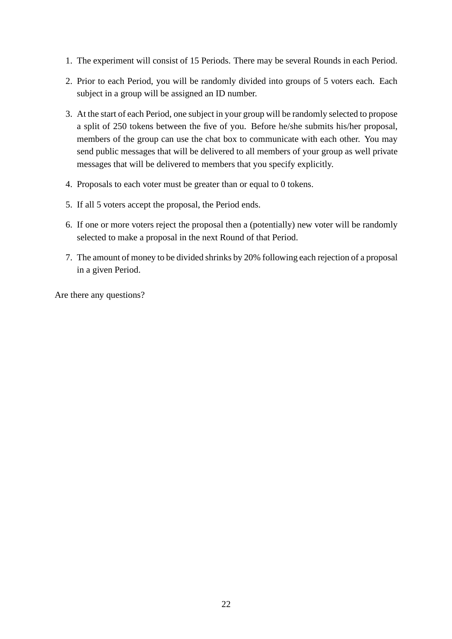- 1. The experiment will consist of 15 Periods. There may be several Rounds in each Period.
- 2. Prior to each Period, you will be randomly divided into groups of 5 voters each. Each subject in a group will be assigned an ID number.
- 3. At the start of each Period, one subject in your group will be randomly selected to propose a split of 250 tokens between the five of you. Before he/she submits his/her proposal, members of the group can use the chat box to communicate with each other. You may send public messages that will be delivered to all members of your group as well private messages that will be delivered to members that you specify explicitly.
- 4. Proposals to each voter must be greater than or equal to 0 tokens.
- 5. If all 5 voters accept the proposal, the Period ends.
- 6. If one or more voters reject the proposal then a (potentially) new voter will be randomly selected to make a proposal in the next Round of that Period.
- 7. The amount of money to be divided shrinks by 20% following each rejection of a proposal in a given Period.

Are there any questions?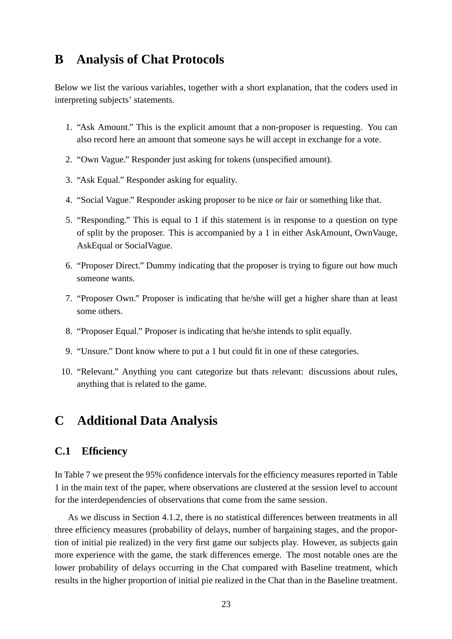### **B Analysis of Chat Protocols**

Below we list the various variables, together with a short explanation, that the coders used in interpreting subjects' statements.

- 1. "Ask Amount." This is the explicit amount that a non-proposer is requesting. You can also record here an amount that someone says he will accept in exchange for a vote.
- 2. "Own Vague." Responder just asking for tokens (unspecified amount).
- 3. "Ask Equal." Responder asking for equality.
- 4. "Social Vague." Responder asking proposer to be nice or fair or something like that.
- 5. "Responding." This is equal to 1 if this statement is in response to a question on type of split by the proposer. This is accompanied by a 1 in either AskAmount, OwnVauge, AskEqual or SocialVague.
- 6. "Proposer Direct." Dummy indicating that the proposer is trying to figure out how much someone wants.
- 7. "Proposer Own." Proposer is indicating that he/she will get a higher share than at least some others.
- 8. "Proposer Equal." Proposer is indicating that he/she intends to split equally.
- 9. "Unsure." Dont know where to put a 1 but could fit in one of these categories.
- 10. "Relevant." Anything you cant categorize but thats relevant: discussions about rules, anything that is related to the game.

## **C Additional Data Analysis**

#### **C.1 Efficiency**

In Table 7 we present the 95% confidence intervals for the efficiency measures reported in Table 1 in the main text of the paper, where observations are clustered at the session level to account for the interdependencies of observations that come from the same session.

As we discuss in Section 4.1.2, there is no statistical differences between treatments in all three efficiency measures (probability of delays, number of bargaining stages, and the proportion of initial pie realized) in the very first game our subjects play. However, as subjects gain more experience with the game, the stark differences emerge. The most notable ones are the lower probability of delays occurring in the Chat compared with Baseline treatment, which results in the higher proportion of initial pie realized in the Chat than in the Baseline treatment.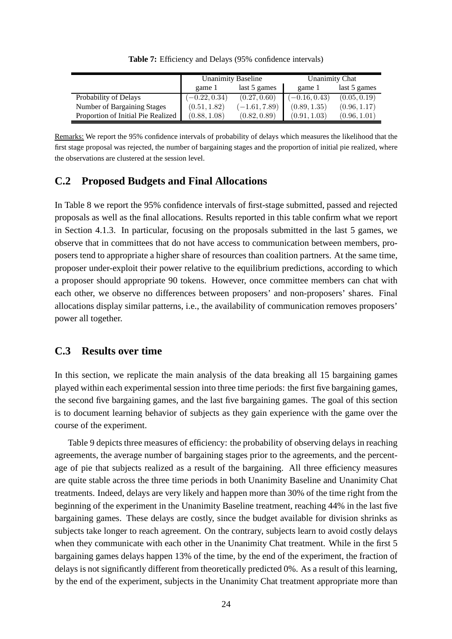|                                    |                 | <b>Unanimity Baseline</b> | <b>Unanimity Chat</b> |              |  |
|------------------------------------|-----------------|---------------------------|-----------------------|--------------|--|
|                                    | game 1          | last 5 games              | game 1                | last 5 games |  |
| Probability of Delays              | $(-0.22, 0.34)$ | (0.27, 0.60)              | $(-0.16, 0.43)$       | (0.05, 0.19) |  |
| Number of Bargaining Stages        | (0.51, 1.82)    | $(-1.61, 7.89)$           | (0.89, 1.35)          | (0.96, 1.17) |  |
| Proportion of Initial Pie Realized | (0.88, 1.08)    | (0.82, 0.89)              | (0.91, 1.03)          | (0.96, 1.01) |  |

**Table 7:** Efficiency and Delays (95% confidence intervals)

Remarks: We report the 95% confidence intervals of probability of delays which measures the likelihood that the first stage proposal was rejected, the number of bargaining stages and the proportion of initial pie realized, where the observations are clustered at the session level.

#### **C.2 Proposed Budgets and Final Allocations**

In Table 8 we report the 95% confidence intervals of first-stage submitted, passed and rejected proposals as well as the final allocations. Results reported in this table confirm what we report in Section 4.1.3. In particular, focusing on the proposals submitted in the last 5 games, we observe that in committees that do not have access to communication between members, proposers tend to appropriate a higher share of resources than coalition partners. At the same time, proposer under-exploit their power relative to the equilibrium predictions, according to which a proposer should appropriate 90 tokens. However, once committee members can chat with each other, we observe no differences between proposers' and non-proposers' shares. Final allocations display similar patterns, i.e., the availability of communication removes proposers' power all together.

#### **C.3 Results over time**

In this section, we replicate the main analysis of the data breaking all 15 bargaining games played within each experimental session into three time periods: the first five bargaining games, the second five bargaining games, and the last five bargaining games. The goal of this section is to document learning behavior of subjects as they gain experience with the game over the course of the experiment.

Table 9 depicts three measures of efficiency: the probability of observing delays in reaching agreements, the average number of bargaining stages prior to the agreements, and the percentage of pie that subjects realized as a result of the bargaining. All three efficiency measures are quite stable across the three time periods in both Unanimity Baseline and Unanimity Chat treatments. Indeed, delays are very likely and happen more than 30% of the time right from the beginning of the experiment in the Unanimity Baseline treatment, reaching 44% in the last five bargaining games. These delays are costly, since the budget available for division shrinks as subjects take longer to reach agreement. On the contrary, subjects learn to avoid costly delays when they communicate with each other in the Unanimity Chat treatment. While in the first 5 bargaining games delays happen 13% of the time, by the end of the experiment, the fraction of delays is not significantly different from theoretically predicted 0%. As a result of this learning, by the end of the experiment, subjects in the Unanimity Chat treatment appropriate more than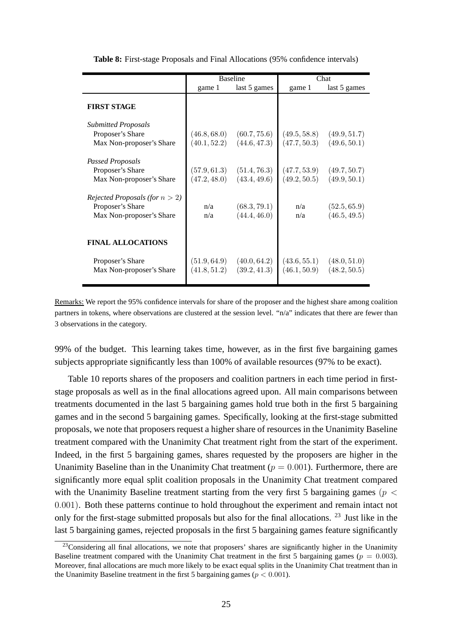|                                                                                                                                                                           |                                            | <b>Baseline</b>                                              | Chat                                       |                                                              |  |
|---------------------------------------------------------------------------------------------------------------------------------------------------------------------------|--------------------------------------------|--------------------------------------------------------------|--------------------------------------------|--------------------------------------------------------------|--|
|                                                                                                                                                                           | game 1                                     | last 5 games                                                 | game 1                                     | last 5 games                                                 |  |
| <b>FIRST STAGE</b>                                                                                                                                                        |                                            |                                                              |                                            |                                                              |  |
| <b>Submitted Proposals</b>                                                                                                                                                |                                            |                                                              |                                            |                                                              |  |
| Proposer's Share                                                                                                                                                          | (46.8, 68.0)                               | (60.7, 75.6)                                                 | (49.5, 58.8)                               | (49.9, 51.7)                                                 |  |
| Max Non-proposer's Share                                                                                                                                                  | (40.1, 52.2)                               | (44.6, 47.3)                                                 | (47.7, 50.3)                               | (49.6, 50.1)                                                 |  |
| Passed Proposals<br>Proposer's Share<br>Max Non-proposer's Share<br><i>Rejected Proposals (for <math>n &gt; 2</math>)</i><br>Proposer's Share<br>Max Non-proposer's Share | (57.9, 61.3)<br>(47.2, 48.0)<br>n/a<br>n/a | (51.4, 76.3)<br>(43.4, 49.6)<br>(68.3, 79.1)<br>(44.4, 46.0) | (47.7, 53.9)<br>(49.2, 50.5)<br>n/a<br>n/a | (49.7, 50.7)<br>(49.9, 50.1)<br>(52.5, 65.9)<br>(46.5, 49.5) |  |
| <b>FINAL ALLOCATIONS</b><br>Proposer's Share<br>Max Non-proposer's Share                                                                                                  | (51.9, 64.9)<br>(41.8, 51.2)               | (40.0, 64.2)<br>(39.2, 41.3)                                 | (43.6, 55.1)<br>(46.1, 50.9)               | (48.0, 51.0)<br>(48.2, 50.5)                                 |  |
|                                                                                                                                                                           |                                            |                                                              |                                            |                                                              |  |

**Table 8:** First-stage Proposals and Final Allocations (95% confidence intervals)

Remarks: We report the 95% confidence intervals for share of the proposer and the highest share among coalition partners in tokens, where observations are clustered at the session level. "n/a" indicates that there are fewer than 3 observations in the category.

99% of the budget. This learning takes time, however, as in the first five bargaining games subjects appropriate significantly less than 100% of available resources (97% to be exact).

Table 10 reports shares of the proposers and coalition partners in each time period in firststage proposals as well as in the final allocations agreed upon. All main comparisons between treatments documented in the last 5 bargaining games hold true both in the first 5 bargaining games and in the second 5 bargaining games. Specifically, looking at the first-stage submitted proposals, we note that proposers request a higher share of resources in the Unanimity Baseline treatment compared with the Unanimity Chat treatment right from the start of the experiment. Indeed, in the first 5 bargaining games, shares requested by the proposers are higher in the Unanimity Baseline than in the Unanimity Chat treatment ( $p = 0.001$ ). Furthermore, there are significantly more equal split coalition proposals in the Unanimity Chat treatment compared with the Unanimity Baseline treatment starting from the very first 5 bargaining games ( $p <$ 0.001). Both these patterns continue to hold throughout the experiment and remain intact not only for the first-stage submitted proposals but also for the final allocations. <sup>23</sup> Just like in the last 5 bargaining games, rejected proposals in the first 5 bargaining games feature significantly

 $23$ Considering all final allocations, we note that proposers' shares are significantly higher in the Unanimity Baseline treatment compared with the Unanimity Chat treatment in the first 5 bargaining games ( $p = 0.003$ ). Moreover, final allocations are much more likely to be exact equal splits in the Unanimity Chat treatment than in the Unanimity Baseline treatment in the first 5 bargaining games ( $p < 0.001$ ).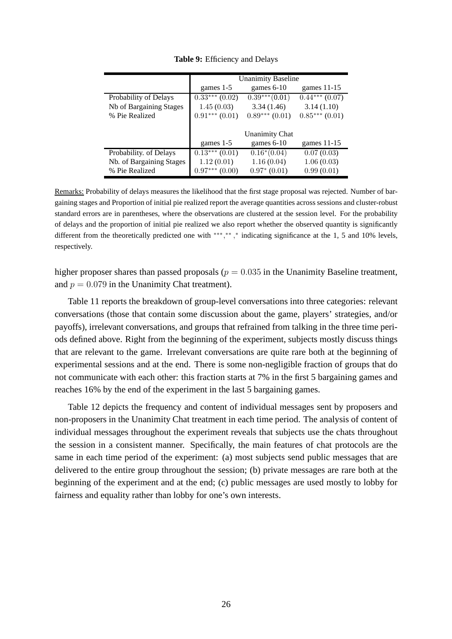|                          | <b>Unanimity Baseline</b> |                 |                 |  |  |  |  |
|--------------------------|---------------------------|-----------------|-----------------|--|--|--|--|
|                          | games 1-5                 | games $6-10$    | games $11-15$   |  |  |  |  |
| Probability of Delays    | $0.33***(0.02)$           | $0.39***(0.01)$ | $0.44***(0.07)$ |  |  |  |  |
| Nb of Bargaining Stages  | 1.45(0.03)                | 3.34(1.46)      | 3.14(1.10)      |  |  |  |  |
| % Pie Realized           | $0.91***(0.01)$           | $0.89***(0.01)$ | $0.85***(0.01)$ |  |  |  |  |
|                          |                           |                 |                 |  |  |  |  |
|                          | <b>Unanimity Chat</b>     |                 |                 |  |  |  |  |
|                          | games 1-5                 | games $6-10$    | games $11-15$   |  |  |  |  |
| Probability. of Delays   | $0.13***(0.01)$           | $0.16*(0.04)$   | 0.07(0.03)      |  |  |  |  |
| Nb. of Bargaining Stages | 1.12(0.01)                | 1.16(0.04)      | 1.06(0.03)      |  |  |  |  |
| % Pie Realized           | $0.97***(0.00)$           | $0.97^* (0.01)$ | 0.99(0.01)      |  |  |  |  |

**Table 9:** Efficiency and Delays

Remarks: Probability of delays measures the likelihood that the first stage proposal was rejected. Number of bargaining stages and Proportion of initial pie realized report the average quantities across sessions and cluster-robust standard errors are in parentheses, where the observations are clustered at the session level. For the probability of delays and the proportion of initial pie realized we also report whether the observed quantity is significantly different from the theoretically predicted one with \*\*\*,\*\*,\* indicating significance at the 1, 5 and 10% levels, respectively.

higher proposer shares than passed proposals ( $p = 0.035$  in the Unanimity Baseline treatment, and  $p = 0.079$  in the Unanimity Chat treatment).

Table 11 reports the breakdown of group-level conversations into three categories: relevant conversations (those that contain some discussion about the game, players' strategies, and/or payoffs), irrelevant conversations, and groups that refrained from talking in the three time periods defined above. Right from the beginning of the experiment, subjects mostly discuss things that are relevant to the game. Irrelevant conversations are quite rare both at the beginning of experimental sessions and at the end. There is some non-negligible fraction of groups that do not communicate with each other: this fraction starts at 7% in the first 5 bargaining games and reaches 16% by the end of the experiment in the last 5 bargaining games.

Table 12 depicts the frequency and content of individual messages sent by proposers and non-proposers in the Unanimity Chat treatment in each time period. The analysis of content of individual messages throughout the experiment reveals that subjects use the chats throughout the session in a consistent manner. Specifically, the main features of chat protocols are the same in each time period of the experiment: (a) most subjects send public messages that are delivered to the entire group throughout the session; (b) private messages are rare both at the beginning of the experiment and at the end; (c) public messages are used mostly to lobby for fairness and equality rather than lobby for one's own interests.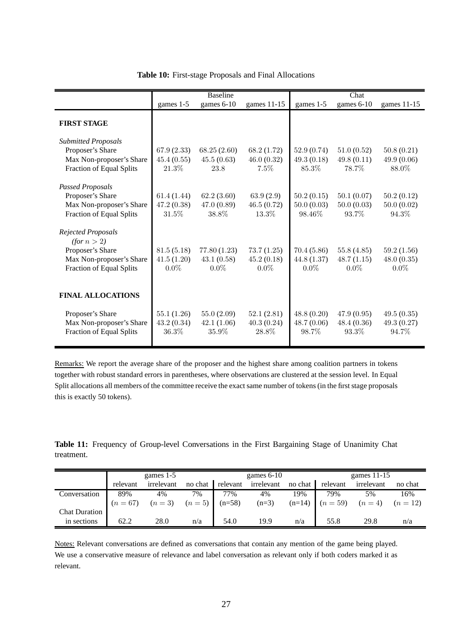|                                                                            |                                     | <b>Baseline</b>                       |                                     |                                      | Chat                                 |                                     |
|----------------------------------------------------------------------------|-------------------------------------|---------------------------------------|-------------------------------------|--------------------------------------|--------------------------------------|-------------------------------------|
|                                                                            | games 1-5                           | games 6-10                            | games 11-15                         | games 1-5                            | games 6-10                           | games 11-15                         |
| <b>FIRST STAGE</b>                                                         |                                     |                                       |                                     |                                      |                                      |                                     |
| <b>Submitted Proposals</b><br>Proposer's Share<br>Max Non-proposer's Share | 67.9 (2.33)<br>45.4(0.55)           | 68.25(2.60)<br>45.5(0.63)             | 68.2 (1.72)<br>46.0(0.32)           | 52.9(0.74)<br>49.3(0.18)             | 51.0(0.52)<br>49.8(0.11)             | 50.8(0.21)<br>49.9(0.06)            |
| Fraction of Equal Splits<br><b>Passed Proposals</b>                        | 21.3%                               | 23.8                                  | $7.5\%$                             | 85.3%                                | 78.7%                                | 88.0%                               |
| Proposer's Share<br>Max Non-proposer's Share<br>Fraction of Equal Splits   | 61.4(1.44)<br>47.2(0.38)<br>31.5%   | 62.2(3.60)<br>47.0(0.89)<br>38.8%     | 63.9(2.9)<br>46.5(0.72)<br>13.3%    | 50.2(0.15)<br>50.0(0.03)<br>98.46\%  | 50.1(0.07)<br>50.0(0.03)<br>93.7%    | 50.2(0.12)<br>50.0(0.02)<br>94.3%   |
| <b>Rejected Proposals</b><br>(for n > 2)                                   |                                     |                                       |                                     |                                      |                                      |                                     |
| Proposer's Share<br>Max Non-proposer's Share<br>Fraction of Equal Splits   | 81.5(5.18)<br>41.5(1.20)<br>$0.0\%$ | 77.80 (1.23)<br>43.1(0.58)<br>$0.0\%$ | 73.7(1.25)<br>45.2(0.18)<br>$0.0\%$ | 70.4 (5.86)<br>44.8(1.37)<br>$0.0\%$ | 55.8 (4.85)<br>48.7(1.15)<br>$0.0\%$ | 59.2(1.56)<br>48.0(0.35)<br>$0.0\%$ |
| <b>FINAL ALLOCATIONS</b>                                                   |                                     |                                       |                                     |                                      |                                      |                                     |
| Proposer's Share<br>Max Non-proposer's Share<br>Fraction of Equal Splits   | 55.1(1.26)<br>43.2(0.34)<br>36.3%   | 55.0(2.09)<br>42.1(1.06)<br>35.9%     | 52.1(2.81)<br>40.3(0.24)<br>28.8%   | 48.8(0.20)<br>48.7(0.06)<br>98.7%    | 47.9(0.95)<br>48.4(0.36)<br>93.3%    | 49.5(0.35)<br>49.3(0.27)<br>94.7%   |

#### **Table 10:** First-stage Proposals and Final Allocations

Remarks: We report the average share of the proposer and the highest share among coalition partners in tokens together with robust standard errors in parentheses, where observations are clustered at the session level. In Equal Split allocations all members of the committee receive the exact same number of tokens (in the first stage proposals this is exactly 50 tokens).

**Table 11:** Frequency of Group-level Conversations in the First Bargaining Stage of Unanimity Chat treatment.

|                      | games $1-5$ |                                         |         | games $6-10$ |            |         | games $11-15$     |                      |         |
|----------------------|-------------|-----------------------------------------|---------|--------------|------------|---------|-------------------|----------------------|---------|
|                      | relevant    | irrelevant                              | no chat | relevant     | irrelevant | no chat | relevant          | irrelevant           | no chat |
| Conversation         | 89%         | 4%                                      | 7%      | 77%          | 4%         | 19%     | 79%               | 5%                   | 16%     |
|                      |             | $(n = 67)$ $(n = 3)$ $(n = 5)$ $(n=58)$ |         |              | $(n=3)$    |         | $(n=14)$ $(n=59)$ | $(n = 4)$ $(n = 12)$ |         |
| <b>Chat Duration</b> |             |                                         |         |              |            |         |                   |                      |         |
| in sections          | 62.2        | 28.0                                    | n/a     | 54.0         | 19.9       | n/a     | 55.8              | 29.8                 | n/a     |

Notes: Relevant conversations are defined as conversations that contain any mention of the game being played. We use a conservative measure of relevance and label conversation as relevant only if both coders marked it as relevant.